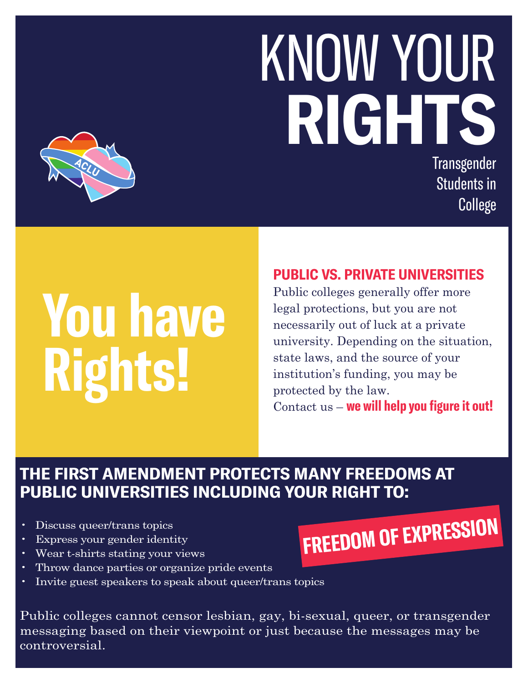# KNOW YOUR **RIGHTS Transgender**



Students in College

# **You have Rights!**

#### **PUBLIC VS. PRIVATE UNIVERSITIES**

Public colleges generally offer more legal protections, but you are not necessarily out of luck at a private university. Depending on the situation, state laws, and the source of your institution's funding, you may be protected by the law. Contact us – **we will help you figure it out!**

**FREEDOM OF EXPRESSION**

#### **THE FIRST AMENDMENT PROTECTS MANY FREEDOMS AT PUBLIC UNIVERSITIES INCLUDING YOUR RIGHT TO:**

- Discuss queer/trans topics
- Express your gender identity
- Wear t-shirts stating your views
- Throw dance parties or organize pride events
- Invite guest speakers to speak about queer/trans topics

Public colleges cannot censor lesbian, gay, bi-sexual, queer, or transgender messaging based on their viewpoint or just because the messages may be controversial.